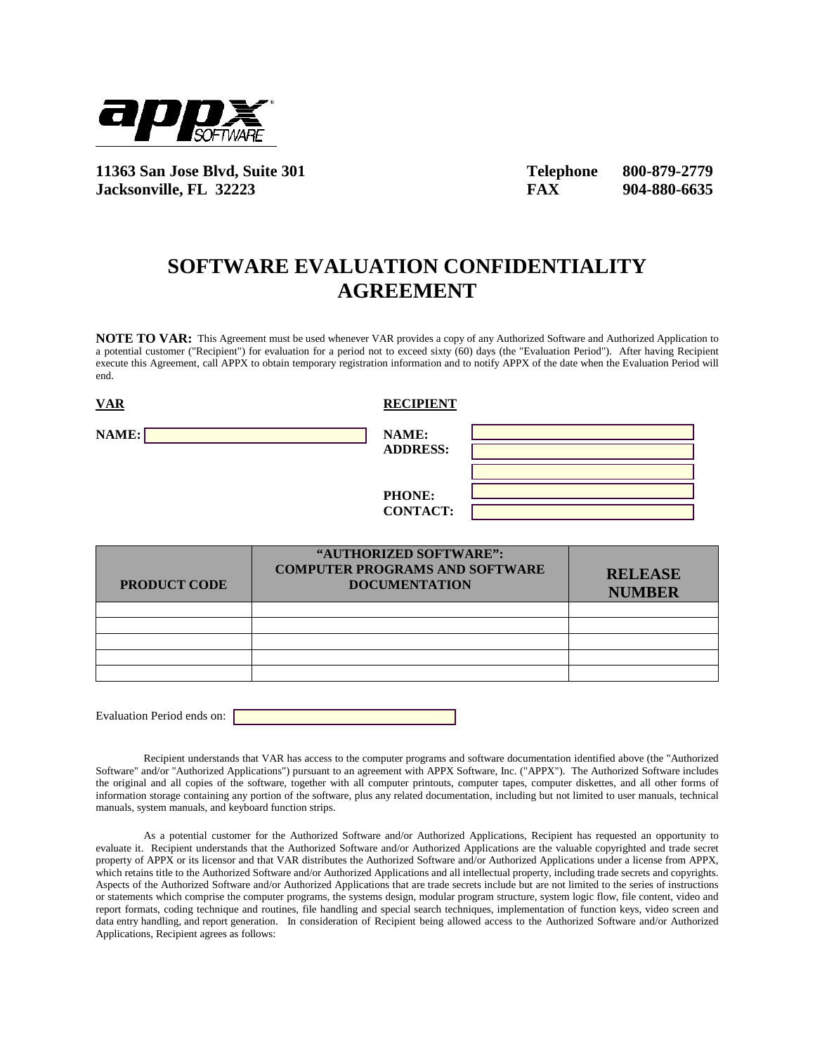

**11363 San Jose Blvd, Suite 301 Telephone 800-879-2779 Jacksonville, FL 32223 FAX 904-880-6635** 

## **SOFTWARE EVALUATION CONFIDENTIALITY AGREEMENT**

**NOTE TO VAR:** This Agreement must be used whenever VAR provides a copy of any Authorized Software and Authorized Application to a potential customer ("Recipient") for evaluation for a period not to exceed sixty (60) days (the "Evaluation Period"). After having Recipient execute this Agreement, call APPX to obtain temporary registration information and to notify APPX of the date when the Evaluation Period will end.

**NAME:** NAME: **ADDRESS:** 

**PRODUCT COD** 

**VAR RECIPIENT** 

**PHONE:**

|   | <b>PHONE:</b><br><b>CONTACT:</b>                                                        |                                 |
|---|-----------------------------------------------------------------------------------------|---------------------------------|
| E | "AUTHORIZED SOFTWARE":<br><b>COMPUTER PROGRAMS AND SOFTWARE</b><br><b>DOCUMENTATION</b> | <b>RELEASE</b><br><b>NUMBER</b> |
|   |                                                                                         |                                 |
|   |                                                                                         |                                 |

Evaluation Period ends on:

Recipient understands that VAR has access to the computer programs and software documentation identified above (the "Authorized Software" and/or "Authorized Applications") pursuant to an agreement with APPX Software, Inc. ("APPX"). The Authorized Software includes the original and all copies of the software, together with all computer printouts, computer tapes, computer diskettes, and all other forms of information storage containing any portion of the software, plus any related documentation, including but not limited to user manuals, technical manuals, system manuals, and keyboard function strips.

As a potential customer for the Authorized Software and/or Authorized Applications, Recipient has requested an opportunity to evaluate it. Recipient understands that the Authorized Software and/or Authorized Applications are the valuable copyrighted and trade secret property of APPX or its licensor and that VAR distributes the Authorized Software and/or Authorized Applications under a license from APPX, which retains title to the Authorized Software and/or Authorized Applications and all intellectual property, including trade secrets and copyrights. Aspects of the Authorized Software and/or Authorized Applications that are trade secrets include but are not limited to the series of instructions or statements which comprise the computer programs, the systems design, modular program structure, system logic flow, file content, video and report formats, coding technique and routines, file handling and special search techniques, implementation of function keys, video screen and data entry handling, and report generation. In consideration of Recipient being allowed access to the Authorized Software and/or Authorized Applications, Recipient agrees as follows: